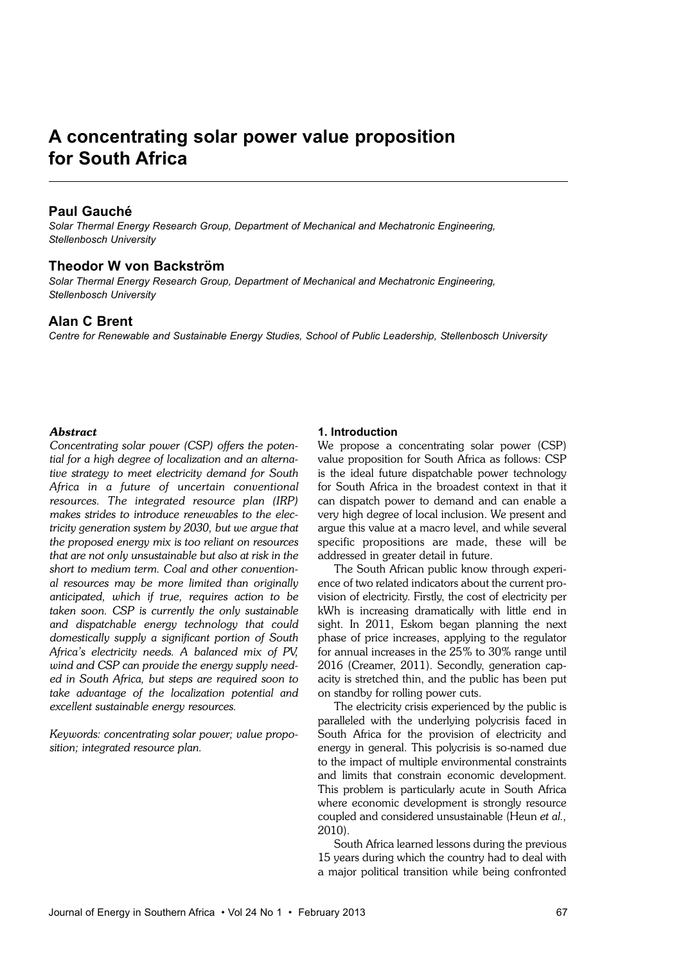# **A concentrating solar power value proposition for South Africa**

# **Paul Gauché**

*Solar Thermal Energy Research Group, Department of Mechanical and Mechatronic Engineering, Stellenbosch University*

#### **Theodor W von Backström**

*Solar Thermal Energy Research Group, Department of Mechanical and Mechatronic Engineering, Stellenbosch University*

## **Alan C Brent**

*Centre for Renewable and Sustainable Energy Studies, School of Public Leadership, Stellenbosch University*

#### *Abstract*

*Concentrating solar power (CSP) offers the potential for a high degree of localization and an alternative strategy to meet electricity demand for South Africa in a future of uncertain conventional resources. The integrated resource plan (IRP) makes strides to introduce renewables to the electricity generation system by 2030, but we argue that the proposed energy mix is too reliant on resources that are not only unsustainable but also at risk in the short to medium term. Coal and other conventional resources may be more limited than originally anticipated, which if true, requires action to be taken soon. CSP is currently the only sustainable and dispatchable energy technology that could domestically supply a significant portion of South Africa's electricity needs. A balanced mix of PV, wind and CSP can provide the energy supply needed in South Africa, but steps are required soon to take advantage of the localization potential and excellent sustainable energy resources.*

*Keywords: concentrating solar power; value proposition; integrated resource plan.*

## **1. Introduction**

We propose a concentrating solar power (CSP) value proposition for South Africa as follows: CSP is the ideal future dispatchable power technology for South Africa in the broadest context in that it can dispatch power to demand and can enable a very high degree of local inclusion. We present and argue this value at a macro level, and while several specific propositions are made, these will be addressed in greater detail in future.

The South African public know through experience of two related indicators about the current provision of electricity. Firstly, the cost of electricity per kWh is increasing dramatically with little end in sight. In 2011, Eskom began planning the next phase of price increases, applying to the regulator for annual increases in the 25% to 30% range until 2016 (Creamer, 2011). Secondly, generation capacity is stretched thin, and the public has been put on standby for rolling power cuts.

The electricity crisis experienced by the public is paralleled with the underlying polycrisis faced in South Africa for the provision of electricity and energy in general. This polycrisis is so-named due to the impact of multiple environmental constraints and limits that constrain economic development. This problem is particularly acute in South Africa where economic development is strongly resource coupled and considered unsustainable (Heun *et al.,* 2010).

South Africa learned lessons during the previous 15 years during which the country had to deal with a major political transition while being confronted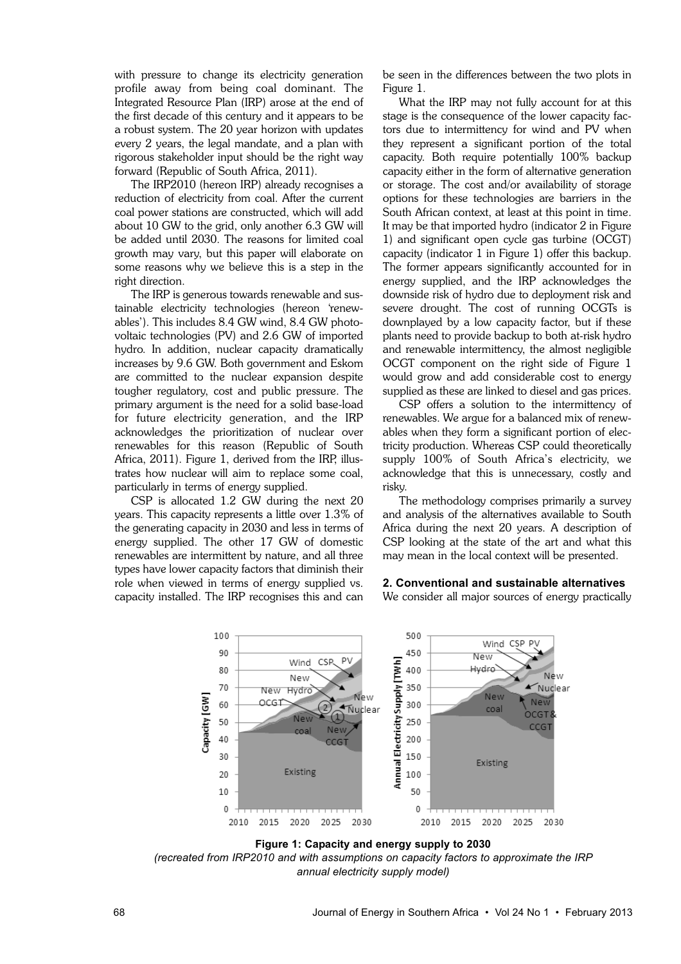with pressure to change its electricity generation profile away from being coal dominant. The Integrated Resource Plan (IRP) arose at the end of the first decade of this century and it appears to be a robust system. The 20 year horizon with updates every 2 years, the legal mandate, and a plan with rigorous stakeholder input should be the right way forward (Republic of South Africa, 2011).

The IRP2010 (hereon IRP) already recognises a reduction of electricity from coal. After the current coal power stations are constructed, which will add about 10 GW to the grid, only another 6.3 GW will be added until 2030. The reasons for limited coal growth may vary, but this paper will elaborate on some reasons why we believe this is a step in the right direction.

The IRP is generous towards renewable and sustainable electricity technologies (hereon 'renewables'). This includes 8.4 GW wind, 8.4 GW photovoltaic technologies (PV) and 2.6 GW of imported hydro. In addition, nuclear capacity dramatically increases by 9.6 GW. Both government and Eskom are committed to the nuclear expansion despite tougher regulatory, cost and public pressure. The primary argument is the need for a solid base-load for future electricity generation, and the IRP acknowledges the prioritization of nuclear over renewables for this reason (Republic of South Africa, 2011). Figure 1, derived from the IRP, illustrates how nuclear will aim to replace some coal, particularly in terms of energy supplied.

CSP is allocated 1.2 GW during the next 20 years. This capacity represents a little over 1.3% of the generating capacity in 2030 and less in terms of energy supplied. The other 17 GW of domestic renewables are intermittent by nature, and all three types have lower capacity factors that diminish their role when viewed in terms of energy supplied vs. capacity installed. The IRP recognises this and can

be seen in the differences between the two plots in Figure 1.

What the IRP may not fully account for at this stage is the consequence of the lower capacity factors due to intermittency for wind and PV when they represent a significant portion of the total capacity. Both require potentially 100% backup capacity either in the form of alternative generation or storage. The cost and/or availability of storage options for these technologies are barriers in the South African context, at least at this point in time. It may be that imported hydro (indicator 2 in Figure 1) and significant open cycle gas turbine (OCGT) capacity (indicator 1 in Figure 1) offer this backup. The former appears significantly accounted for in energy supplied, and the IRP acknowledges the downside risk of hydro due to deployment risk and severe drought. The cost of running OCGTs is downplayed by a low capacity factor, but if these plants need to provide backup to both at-risk hydro and renewable intermittency, the almost negligible OCGT component on the right side of Figure 1 would grow and add considerable cost to energy supplied as these are linked to diesel and gas prices.

CSP offers a solution to the intermittency of renewables. We argue for a balanced mix of renewables when they form a significant portion of electricity production. Whereas CSP could theoretically supply 100% of South Africa's electricity, we acknowledge that this is unnecessary, costly and risky.

The methodology comprises primarily a survey and analysis of the alternatives available to South Africa during the next 20 years. A description of CSP looking at the state of the art and what this may mean in the local context will be presented.



## **2. Conventional and sustainable alternatives**

We consider all major sources of energy practically



*(recreated from IRP2010 and with assumptions on capacity factors to approximate the IRP annual electricity supply model)*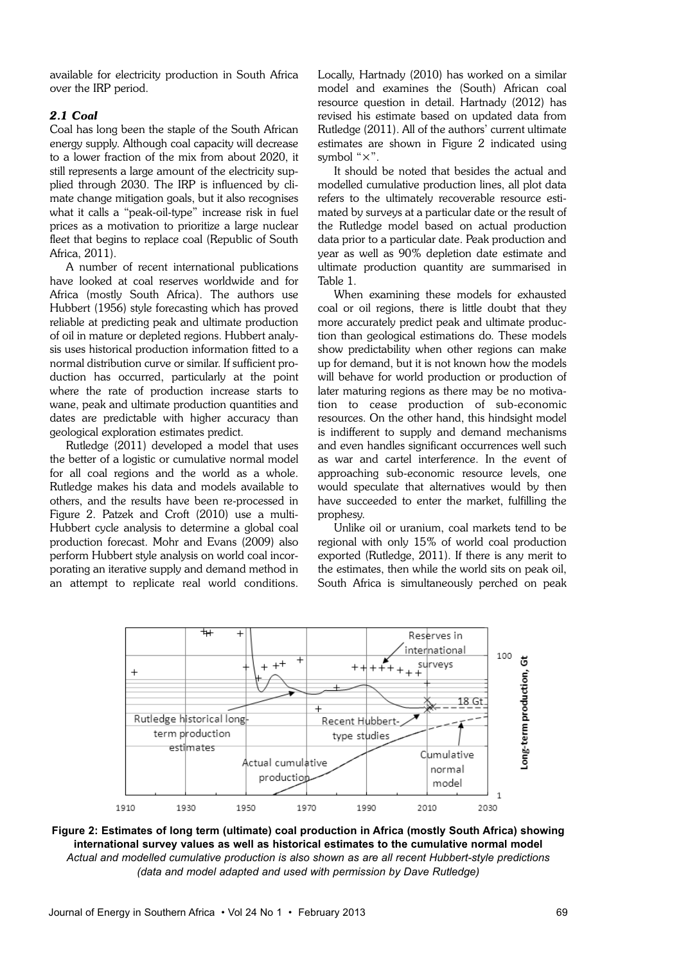available for electricity production in South Africa over the IRP period.

## *2.1 Coal*

Coal has long been the staple of the South African energy supply. Although coal capacity will decrease to a lower fraction of the mix from about 2020, it still represents a large amount of the electricity supplied through 2030. The IRP is influenced by climate change mitigation goals, but it also recognises what it calls a "peak-oil-type" increase risk in fuel prices as a motivation to prioritize a large nuclear fleet that begins to replace coal (Republic of South Africa, 2011).

A number of recent international publications have looked at coal reserves worldwide and for Africa (mostly South Africa). The authors use Hubbert (1956) style forecasting which has proved reliable at predicting peak and ultimate production of oil in mature or depleted regions. Hubbert analysis uses historical production information fitted to a normal distribution curve or similar. If sufficient production has occurred, particularly at the point where the rate of production increase starts to wane, peak and ultimate production quantities and dates are predictable with higher accuracy than geological exploration estimates predict.

Rutledge (2011) developed a model that uses the better of a logistic or cumulative normal model for all coal regions and the world as a whole. Rutledge makes his data and models available to others, and the results have been re-processed in Figure 2. Patzek and Croft (2010) use a multi-Hubbert cycle analysis to determine a global coal production forecast. Mohr and Evans (2009) also perform Hubbert style analysis on world coal incorporating an iterative supply and demand method in an attempt to replicate real world conditions.

Locally, Hartnady (2010) has worked on a similar model and examines the (South) African coal resource question in detail. Hartnady (2012) has revised his estimate based on updated data from Rutledge (2011). All of the authors' current ultimate estimates are shown in Figure 2 indicated using symbol "×".

It should be noted that besides the actual and modelled cumulative production lines, all plot data refers to the ultimately recoverable resource estimated by surveys at a particular date or the result of the Rutledge model based on actual production data prior to a particular date. Peak production and year as well as 90% depletion date estimate and ultimate production quantity are summarised in Table 1.

When examining these models for exhausted coal or oil regions, there is little doubt that they more accurately predict peak and ultimate production than geological estimations do. These models show predictability when other regions can make up for demand, but it is not known how the models will behave for world production or production of later maturing regions as there may be no motivation to cease production of sub-economic resources. On the other hand, this hindsight model is indifferent to supply and demand mechanisms and even handles significant occurrences well such as war and cartel interference. In the event of approaching sub-economic resource levels, one would speculate that alternatives would by then have succeeded to enter the market, fulfilling the prophesy.

Unlike oil or uranium, coal markets tend to be regional with only 15% of world coal production exported (Rutledge, 2011). If there is any merit to the estimates, then while the world sits on peak oil, South Africa is simultaneously perched on peak



**Figure 2: Estimates of long term (ultimate) coal production in Africa (mostly South Africa) showing international survey values as well as historical estimates to the cumulative normal model**  *Actual and modelled cumulative production is also shown as are all recent Hubbert-style predictions (data and model adapted and used with permission by Dave Rutledge)*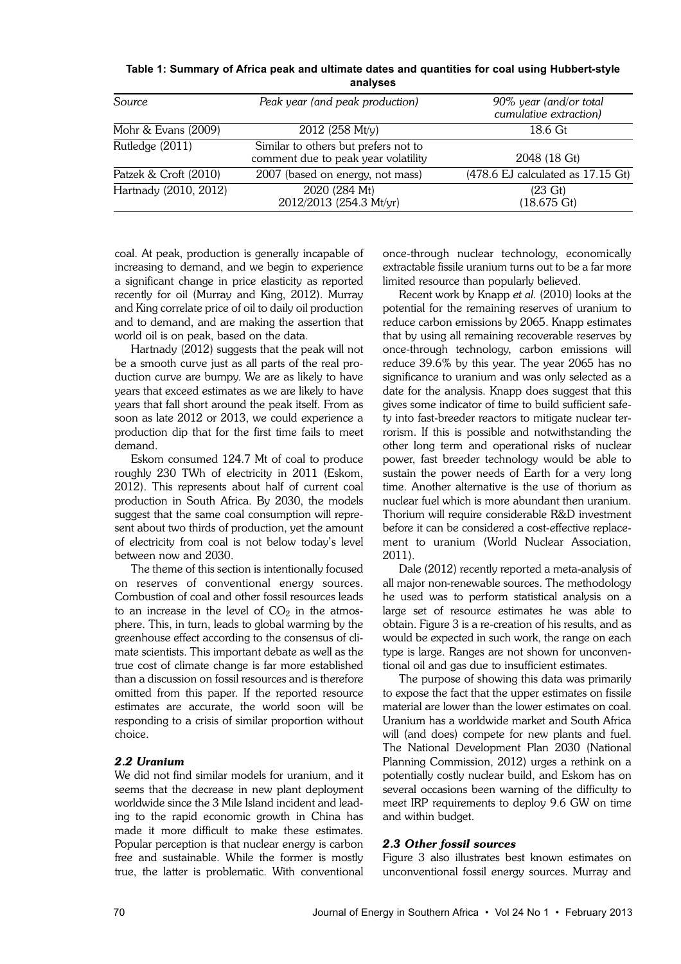**Table 1: Summary of Africa peak and ultimate dates and quantities for coal using Hubbert-style analyses**

| Source                | Peak year (and peak production)                                             | 90% year (and/or total<br>cumulative extraction) |
|-----------------------|-----------------------------------------------------------------------------|--------------------------------------------------|
| Mohr & Evans (2009)   | $2012$ (258 Mt/y)                                                           | 18.6 Gt                                          |
| Rutledge (2011)       | Similar to others but prefers not to<br>comment due to peak year volatility | 2048 (18 Gt)                                     |
| Patzek & Croft (2010) | 2007 (based on energy, not mass)                                            | (478.6 EJ calculated as 17.15 Gt)                |
| Hartnady (2010, 2012) | 2020 (284 Mt)<br>2012/2013 (254.3 Mt/yr)                                    | $(23 \text{ Gt})$<br>$(18.675 \text{ Gt})$       |

coal. At peak, production is generally incapable of increasing to demand, and we begin to experience a significant change in price elasticity as reported recently for oil (Murray and King, 2012). Murray and King correlate price of oil to daily oil production and to demand, and are making the assertion that world oil is on peak, based on the data.

Hartnady (2012) suggests that the peak will not be a smooth curve just as all parts of the real production curve are bumpy. We are as likely to have years that exceed estimates as we are likely to have years that fall short around the peak itself. From as soon as late 2012 or 2013, we could experience a production dip that for the first time fails to meet demand.

Eskom consumed 124.7 Mt of coal to produce roughly 230 TWh of electricity in 2011 (Eskom, 2012). This represents about half of current coal production in South Africa. By 2030, the models suggest that the same coal consumption will represent about two thirds of production, yet the amount of electricity from coal is not below today's level between now and 2030.

The theme of this section is intentionally focused on reserves of conventional energy sources. Combustion of coal and other fossil resources leads to an increase in the level of  $\mathrm{CO}_2$  in the atmosphere. This, in turn, leads to global warming by the greenhouse effect according to the consensus of climate scientists. This important debate as well as the true cost of climate change is far more established than a discussion on fossil resources and is therefore omitted from this paper. If the reported resource estimates are accurate, the world soon will be responding to a crisis of similar proportion without choice.

#### *2.2 Uranium*

We did not find similar models for uranium, and it seems that the decrease in new plant deployment worldwide since the 3 Mile Island incident and leading to the rapid economic growth in China has made it more difficult to make these estimates. Popular perception is that nuclear energy is carbon free and sustainable. While the former is mostly true, the latter is problematic. With conventional

once-through nuclear technology, economically extractable fissile uranium turns out to be a far more limited resource than popularly believed.

Recent work by Knapp *et al.* (2010) looks at the potential for the remaining reserves of uranium to reduce carbon emissions by 2065. Knapp estimates that by using all remaining recoverable reserves by once-through technology, carbon emissions will reduce 39.6% by this year. The year 2065 has no significance to uranium and was only selected as a date for the analysis. Knapp does suggest that this gives some indicator of time to build sufficient safety into fast-breeder reactors to mitigate nuclear terrorism. If this is possible and notwithstanding the other long term and operational risks of nuclear power, fast breeder technology would be able to sustain the power needs of Earth for a very long time. Another alternative is the use of thorium as nuclear fuel which is more abundant then uranium. Thorium will require considerable R&D investment before it can be considered a cost-effective replacement to uranium (World Nuclear Association, 2011).

Dale (2012) recently reported a meta-analysis of all major non-renewable sources. The methodology he used was to perform statistical analysis on a large set of resource estimates he was able to obtain. Figure 3 is a re-creation of his results, and as would be expected in such work, the range on each type is large. Ranges are not shown for unconventional oil and gas due to insufficient estimates.

The purpose of showing this data was primarily to expose the fact that the upper estimates on fissile material are lower than the lower estimates on coal. Uranium has a worldwide market and South Africa will (and does) compete for new plants and fuel. The National Development Plan 2030 (National Planning Commission, 2012) urges a rethink on a potentially costly nuclear build, and Eskom has on several occasions been warning of the difficulty to meet IRP requirements to deploy 9.6 GW on time and within budget.

### *2.3 Other fossil sources*

Figure 3 also illustrates best known estimates on unconventional fossil energy sources. Murray and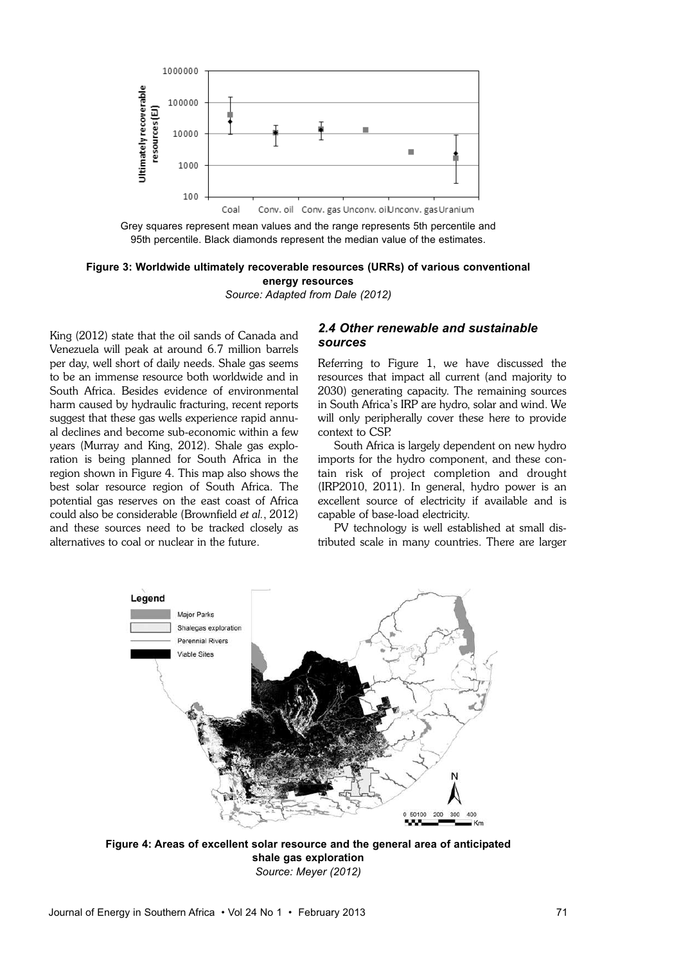

Grey squares represent mean values and the range represents 5th percentile and 95th percentile. Black diamonds represent the median value of the estimates.

#### **Figure 3: Worldwide ultimately recoverable resources (URRs) of various conventional energy resources**

*Source: Adapted from Dale (2012)*

King (2012) state that the oil sands of Canada and Venezuela will peak at around 6.7 million barrels per day, well short of daily needs. Shale gas seems to be an immense resource both worldwide and in South Africa. Besides evidence of environmental harm caused by hydraulic fracturing, recent reports suggest that these gas wells experience rapid annual declines and become sub-economic within a few years (Murray and King, 2012). Shale gas exploration is being planned for South Africa in the region shown in Figure 4. This map also shows the best solar resource region of South Africa. The potential gas reserves on the east coast of Africa could also be considerable (Brownfield *et al.*, 2012) and these sources need to be tracked closely as alternatives to coal or nuclear in the future.

## *2.4 Other renewable and sustainable sources*

Referring to Figure 1, we have discussed the resources that impact all current (and majority to 2030) generating capacity. The remaining sources in South Africa's IRP are hydro, solar and wind. We will only peripherally cover these here to provide context to CSP.

South Africa is largely dependent on new hydro imports for the hydro component, and these contain risk of project completion and drought (IRP2010, 2011). In general, hydro power is an excellent source of electricity if available and is capable of base-load electricity.

PV technology is well established at small distributed scale in many countries. There are larger



**Figure 4: Areas of excellent solar resource and the general area of anticipated shale gas exploration**  *Source: Meyer (2012)*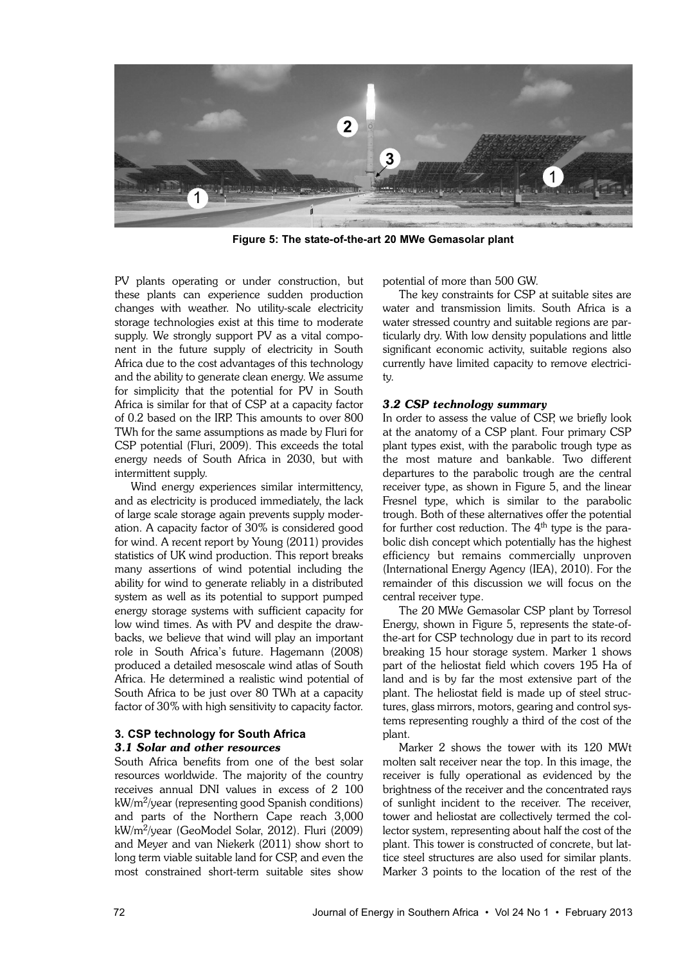

**Figure 5: The state-of-the-art 20 MWe Gemasolar plant**

PV plants operating or under construction, but these plants can experience sudden production changes with weather. No utility-scale electricity storage technologies exist at this time to moderate supply. We strongly support PV as a vital component in the future supply of electricity in South Africa due to the cost advantages of this technology and the ability to generate clean energy. We assume for simplicity that the potential for PV in South Africa is similar for that of CSP at a capacity factor of 0.2 based on the IRP. This amounts to over 800 TWh for the same assumptions as made by Fluri for CSP potential (Fluri, 2009). This exceeds the total energy needs of South Africa in 2030, but with intermittent supply.

Wind energy experiences similar intermittency, and as electricity is produced immediately, the lack of large scale storage again prevents supply moderation. A capacity factor of 30% is considered good for wind. A recent report by Young (2011) provides statistics of UK wind production. This report breaks many assertions of wind potential including the ability for wind to generate reliably in a distributed system as well as its potential to support pumped energy storage systems with sufficient capacity for low wind times. As with PV and despite the drawbacks, we believe that wind will play an important role in South Africa's future. Hagemann (2008) produced a detailed mesoscale wind atlas of South Africa. He determined a realistic wind potential of South Africa to be just over 80 TWh at a capacity factor of 30% with high sensitivity to capacity factor.

## **3. CSP technology for South Africa** *3.1 Solar and other resources*

South Africa benefits from one of the best solar resources worldwide. The majority of the country receives annual DNI values in excess of 2 100 kW/m<sup>2</sup> /year (representing good Spanish conditions) and parts of the Northern Cape reach 3,000 kW/m<sup>2</sup> /year (GeoModel Solar, 2012). Fluri (2009) and Meyer and van Niekerk (2011) show short to long term viable suitable land for CSP, and even the most constrained short-term suitable sites show

potential of more than 500 GW.

The key constraints for CSP at suitable sites are water and transmission limits. South Africa is a water stressed country and suitable regions are particularly dry. With low density populations and little significant economic activity, suitable regions also currently have limited capacity to remove electricity.

#### *3.2 CSP technology summary*

In order to assess the value of CSP, we briefly look at the anatomy of a CSP plant. Four primary CSP plant types exist, with the parabolic trough type as the most mature and bankable. Two different departures to the parabolic trough are the central receiver type, as shown in Figure 5, and the linear Fresnel type, which is similar to the parabolic trough. Both of these alternatives offer the potential for further cost reduction. The  $4<sup>th</sup>$  type is the parabolic dish concept which potentially has the highest efficiency but remains commercially unproven (International Energy Agency (IEA), 2010). For the remainder of this discussion we will focus on the central receiver type.

The 20 MWe Gemasolar CSP plant by Torresol Energy, shown in Figure 5, represents the state-ofthe-art for CSP technology due in part to its record breaking 15 hour storage system. Marker 1 shows part of the heliostat field which covers 195 Ha of land and is by far the most extensive part of the plant. The heliostat field is made up of steel structures, glass mirrors, motors, gearing and control systems representing roughly a third of the cost of the plant.

Marker 2 shows the tower with its 120 MWt molten salt receiver near the top. In this image, the receiver is fully operational as evidenced by the brightness of the receiver and the concentrated rays of sunlight incident to the receiver. The receiver, tower and heliostat are collectively termed the collector system, representing about half the cost of the plant. This tower is constructed of concrete, but lattice steel structures are also used for similar plants. Marker 3 points to the location of the rest of the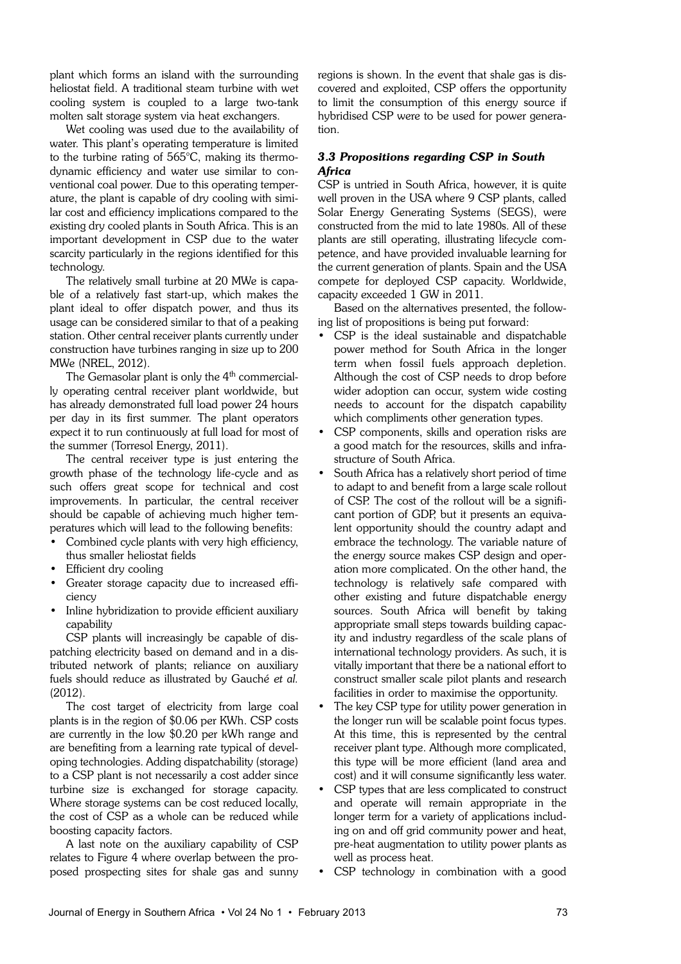plant which forms an island with the surrounding heliostat field. A traditional steam turbine with wet cooling system is coupled to a large two-tank molten salt storage system via heat exchangers.

Wet cooling was used due to the availability of water. This plant's operating temperature is limited to the turbine rating of 565°C, making its thermodynamic efficiency and water use similar to conventional coal power. Due to this operating temperature, the plant is capable of dry cooling with similar cost and efficiency implications compared to the existing dry cooled plants in South Africa. This is an important development in CSP due to the water scarcity particularly in the regions identified for this technology.

The relatively small turbine at 20 MWe is capable of a relatively fast start-up, which makes the plant ideal to offer dispatch power, and thus its usage can be considered similar to that of a peaking station. Other central receiver plants currently under construction have turbines ranging in size up to 200 MWe (NREL, 2012).

The Gemasolar plant is only the 4<sup>th</sup> commercially operating central receiver plant worldwide, but has already demonstrated full load power 24 hours per day in its first summer. The plant operators expect it to run continuously at full load for most of the summer (Torresol Energy, 2011).

The central receiver type is just entering the growth phase of the technology life-cycle and as such offers great scope for technical and cost improvements. In particular, the central receiver should be capable of achieving much higher temperatures which will lead to the following benefits:

- Combined cycle plants with very high efficiency, thus smaller heliostat fields
- Efficient dry cooling
- Greater storage capacity due to increased efficiency
- Inline hybridization to provide efficient auxiliary capability

CSP plants will increasingly be capable of dispatching electricity based on demand and in a distributed network of plants; reliance on auxiliary fuels should reduce as illustrated by Gauché *et al.* (2012).

The cost target of electricity from large coal plants is in the region of \$0.06 per KWh. CSP costs are currently in the low \$0.20 per kWh range and are benefiting from a learning rate typical of developing technologies. Adding dispatchability (storage) to a CSP plant is not necessarily a cost adder since turbine size is exchanged for storage capacity. Where storage systems can be cost reduced locally, the cost of CSP as a whole can be reduced while boosting capacity factors.

A last note on the auxiliary capability of CSP relates to Figure 4 where overlap between the proposed prospecting sites for shale gas and sunny regions is shown. In the event that shale gas is discovered and exploited, CSP offers the opportunity to limit the consumption of this energy source if hybridised CSP were to be used for power generation.

## *3.3 Propositions regarding CSP in South Africa*

CSP is untried in South Africa, however, it is quite well proven in the USA where 9 CSP plants, called Solar Energy Generating Systems (SEGS), were constructed from the mid to late 1980s. All of these plants are still operating, illustrating lifecycle competence, and have provided invaluable learning for the current generation of plants. Spain and the USA compete for deployed CSP capacity. Worldwide, capacity exceeded 1 GW in 2011.

Based on the alternatives presented, the following list of propositions is being put forward:

- CSP is the ideal sustainable and dispatchable power method for South Africa in the longer term when fossil fuels approach depletion. Although the cost of CSP needs to drop before wider adoption can occur, system wide costing needs to account for the dispatch capability which compliments other generation types.
- CSP components, skills and operation risks are a good match for the resources, skills and infrastructure of South Africa.
- South Africa has a relatively short period of time to adapt to and benefit from a large scale rollout of CSP. The cost of the rollout will be a significant portion of GDP, but it presents an equivalent opportunity should the country adapt and embrace the technology. The variable nature of the energy source makes CSP design and operation more complicated. On the other hand, the technology is relatively safe compared with other existing and future dispatchable energy sources. South Africa will benefit by taking appropriate small steps towards building capacity and industry regardless of the scale plans of international technology providers. As such, it is vitally important that there be a national effort to construct smaller scale pilot plants and research facilities in order to maximise the opportunity.
- The key CSP type for utility power generation in the longer run will be scalable point focus types. At this time, this is represented by the central receiver plant type. Although more complicated, this type will be more efficient (land area and cost) and it will consume significantly less water.
- CSP types that are less complicated to construct and operate will remain appropriate in the longer term for a variety of applications including on and off grid community power and heat, pre-heat augmentation to utility power plants as well as process heat.
- CSP technology in combination with a good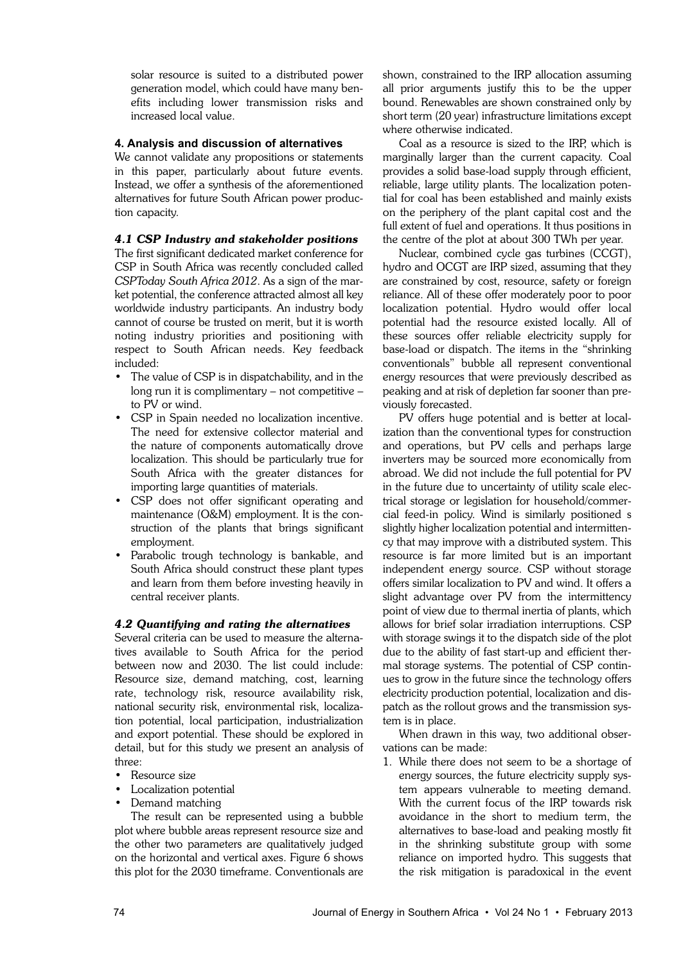solar resource is suited to a distributed power generation model, which could have many benefits including lower transmission risks and increased local value.

## **4. Analysis and discussion of alternatives**

We cannot validate any propositions or statements in this paper, particularly about future events. Instead, we offer a synthesis of the aforementioned alternatives for future South African power production capacity.

## *4.1 CSP Industry and stakeholder positions*

The first significant dedicated market conference for CSP in South Africa was recently concluded called *CSPToday South Africa 2012*. As a sign of the market potential, the conference attracted almost all key worldwide industry participants. An industry body cannot of course be trusted on merit, but it is worth noting industry priorities and positioning with respect to South African needs. Key feedback included:

- The value of CSP is in dispatchability, and in the long run it is complimentary – not competitive – to PV or wind.
- CSP in Spain needed no localization incentive. The need for extensive collector material and the nature of components automatically drove localization. This should be particularly true for South Africa with the greater distances for importing large quantities of materials.
- CSP does not offer significant operating and maintenance (O&M) employment. It is the construction of the plants that brings significant employment.
- Parabolic trough technology is bankable, and South Africa should construct these plant types and learn from them before investing heavily in central receiver plants.

## *4.2 Quantifying and rating the alternatives*

Several criteria can be used to measure the alternatives available to South Africa for the period between now and 2030. The list could include: Resource size, demand matching, cost, learning rate, technology risk, resource availability risk, national security risk, environmental risk, localization potential, local participation, industrialization and export potential. These should be explored in detail, but for this study we present an analysis of throo.

- Resource size
- Localization potential
- Demand matching

The result can be represented using a bubble plot where bubble areas represent resource size and the other two parameters are qualitatively judged on the horizontal and vertical axes. Figure 6 shows this plot for the 2030 timeframe. Conventionals are

shown, constrained to the IRP allocation assuming all prior arguments justify this to be the upper bound. Renewables are shown constrained only by short term (20 year) infrastructure limitations except where otherwise indicated.

Coal as a resource is sized to the IRP, which is marginally larger than the current capacity. Coal provides a solid base-load supply through efficient, reliable, large utility plants. The localization potential for coal has been established and mainly exists on the periphery of the plant capital cost and the full extent of fuel and operations. It thus positions in the centre of the plot at about 300 TWh per year.

Nuclear, combined cycle gas turbines (CCGT), hydro and OCGT are IRP sized, assuming that they are constrained by cost, resource, safety or foreign reliance. All of these offer moderately poor to poor localization potential. Hydro would offer local potential had the resource existed locally. All of these sources offer reliable electricity supply for base-load or dispatch. The items in the "shrinking conventionals" bubble all represent conventional energy resources that were previously described as peaking and at risk of depletion far sooner than previously forecasted.

PV offers huge potential and is better at localization than the conventional types for construction and operations, but PV cells and perhaps large inverters may be sourced more economically from abroad. We did not include the full potential for PV in the future due to uncertainty of utility scale electrical storage or legislation for household/commercial feed-in policy. Wind is similarly positioned s slightly higher localization potential and intermittency that may improve with a distributed system. This resource is far more limited but is an important independent energy source. CSP without storage offers similar localization to PV and wind. It offers a slight advantage over PV from the intermittency point of view due to thermal inertia of plants, which allows for brief solar irradiation interruptions. CSP with storage swings it to the dispatch side of the plot due to the ability of fast start-up and efficient thermal storage systems. The potential of CSP continues to grow in the future since the technology offers electricity production potential, localization and dispatch as the rollout grows and the transmission system is in place.

When drawn in this way, two additional observations can be made:

1. While there does not seem to be a shortage of energy sources, the future electricity supply system appears vulnerable to meeting demand. With the current focus of the IRP towards risk avoidance in the short to medium term, the alternatives to base-load and peaking mostly fit in the shrinking substitute group with some reliance on imported hydro. This suggests that the risk mitigation is paradoxical in the event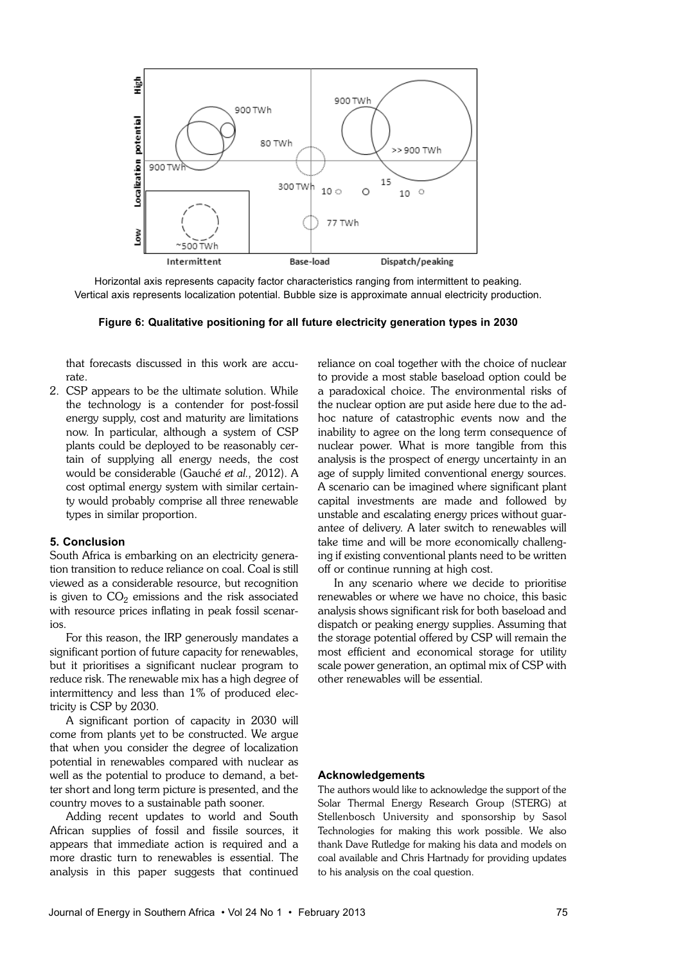

Horizontal axis represents capacity factor characteristics ranging from intermittent to peaking. Vertical axis represents localization potential. Bubble size is approximate annual electricity production.

**Figure 6: Qualitative positioning for all future electricity generation types in 2030** 

that forecasts discussed in this work are accurate.

2. CSP appears to be the ultimate solution. While the technology is a contender for post-fossil energy supply, cost and maturity are limitations now. In particular, although a system of CSP plants could be deployed to be reasonably certain of supplying all energy needs, the cost would be considerable (Gauché *et al.,* 2012). A cost optimal energy system with similar certainty would probably comprise all three renewable types in similar proportion.

#### **5. Conclusion**

South Africa is embarking on an electricity generation transition to reduce reliance on coal. Coal is still viewed as a considerable resource, but recognition is given to  $CO<sub>2</sub>$  emissions and the risk associated with resource prices inflating in peak fossil scenarios.

For this reason, the IRP generously mandates a significant portion of future capacity for renewables, but it prioritises a significant nuclear program to reduce risk. The renewable mix has a high degree of intermittency and less than 1% of produced electricity is CSP by 2030.

A significant portion of capacity in 2030 will come from plants yet to be constructed. We argue that when you consider the degree of localization potential in renewables compared with nuclear as well as the potential to produce to demand, a better short and long term picture is presented, and the country moves to a sustainable path sooner.

Adding recent updates to world and South African supplies of fossil and fissile sources, it appears that immediate action is required and a more drastic turn to renewables is essential. The analysis in this paper suggests that continued reliance on coal together with the choice of nuclear to provide a most stable baseload option could be a paradoxical choice. The environmental risks of the nuclear option are put aside here due to the adhoc nature of catastrophic events now and the inability to agree on the long term consequence of nuclear power. What is more tangible from this analysis is the prospect of energy uncertainty in an age of supply limited conventional energy sources. A scenario can be imagined where significant plant capital investments are made and followed by unstable and escalating energy prices without guarantee of delivery. A later switch to renewables will take time and will be more economically challenging if existing conventional plants need to be written off or continue running at high cost.

In any scenario where we decide to prioritise renewables or where we have no choice, this basic analysis shows significant risk for both baseload and dispatch or peaking energy supplies. Assuming that the storage potential offered by CSP will remain the most efficient and economical storage for utility scale power generation, an optimal mix of CSP with other renewables will be essential.

#### **Acknowledgements**

The authors would like to acknowledge the support of the Solar Thermal Energy Research Group (STERG) at Stellenbosch University and sponsorship by Sasol Technologies for making this work possible. We also thank Dave Rutledge for making his data and models on coal available and Chris Hartnady for providing updates to his analysis on the coal question.